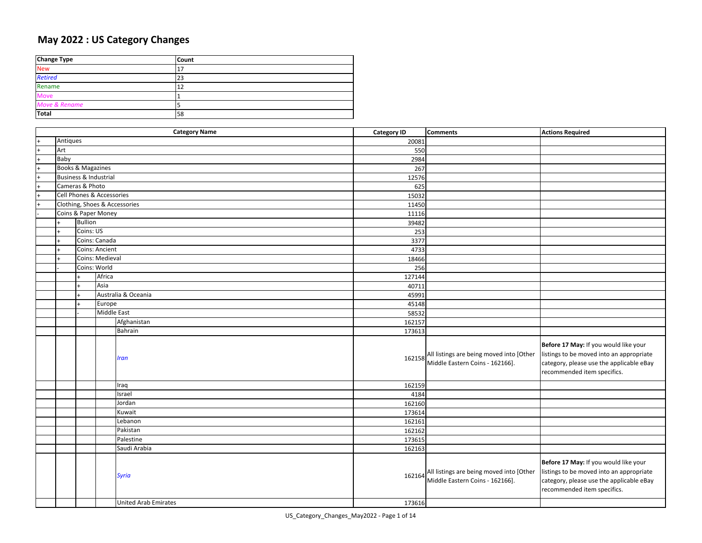## **May 2022 : US Category Changes**

| <b>Change Type</b> | <b>Count</b> |
|--------------------|--------------|
| <b>New</b>         |              |
| <b>Retired</b>     | 23           |
| Rename             | 12           |
| Move               |              |
| Move & Rename      |              |
| Total              | 58           |

|           | <b>Category Name</b> |                       |                               | <b>Category ID</b> | <b>Comments</b>                                                             | <b>Actions Required</b>                                                                                                                                      |
|-----------|----------------------|-----------------------|-------------------------------|--------------------|-----------------------------------------------------------------------------|--------------------------------------------------------------------------------------------------------------------------------------------------------------|
|           | Antiques             |                       |                               | 20081              |                                                                             |                                                                                                                                                              |
| $\ddot{}$ | Art                  |                       |                               | 550                |                                                                             |                                                                                                                                                              |
| $\ddot{}$ | Baby                 |                       |                               | 2984               |                                                                             |                                                                                                                                                              |
|           |                      | Books & Magazines     |                               | 267                |                                                                             |                                                                                                                                                              |
|           |                      | Business & Industrial |                               | 12576              |                                                                             |                                                                                                                                                              |
| $\ddot{}$ |                      | Cameras & Photo       |                               | 625                |                                                                             |                                                                                                                                                              |
| $\ddot{}$ |                      |                       | Cell Phones & Accessories     | 15032              |                                                                             |                                                                                                                                                              |
| $\ddot{}$ |                      |                       | Clothing, Shoes & Accessories | 11450              |                                                                             |                                                                                                                                                              |
|           |                      |                       | Coins & Paper Money           | 11116              |                                                                             |                                                                                                                                                              |
|           |                      | <b>Bullion</b>        |                               | 39482              |                                                                             |                                                                                                                                                              |
|           |                      | Coins: US             |                               | 253                |                                                                             |                                                                                                                                                              |
|           |                      |                       | Coins: Canada                 | 3377               |                                                                             |                                                                                                                                                              |
|           |                      |                       | Coins: Ancient                | 4733               |                                                                             |                                                                                                                                                              |
|           |                      |                       | Coins: Medieval               | 18466              |                                                                             |                                                                                                                                                              |
|           |                      |                       | Coins: World                  | 256                |                                                                             |                                                                                                                                                              |
|           |                      |                       | Africa                        | 127144             |                                                                             |                                                                                                                                                              |
|           |                      |                       | Asia                          | 40711              |                                                                             |                                                                                                                                                              |
|           |                      |                       | Australia & Oceania           | 45991              |                                                                             |                                                                                                                                                              |
|           |                      |                       | Europe                        | 45148              |                                                                             |                                                                                                                                                              |
|           |                      |                       | <b>Middle East</b>            | 58532              |                                                                             |                                                                                                                                                              |
|           |                      |                       | Afghanistan                   | 162157             |                                                                             |                                                                                                                                                              |
|           |                      |                       | Bahrain                       | 173613             |                                                                             |                                                                                                                                                              |
|           |                      |                       | Iran                          | 162158             | All listings are being moved into [Other<br>Middle Eastern Coins - 162166]. | Before 17 May: If you would like your<br>listings to be moved into an appropriate<br>category, please use the applicable eBay<br>recommended item specifics. |
|           |                      |                       | Iraq                          | 162159             |                                                                             |                                                                                                                                                              |
|           |                      |                       | Israel                        | 4184               |                                                                             |                                                                                                                                                              |
|           |                      |                       | Jordan                        | 162160             |                                                                             |                                                                                                                                                              |
|           |                      |                       | Kuwait                        | 173614             |                                                                             |                                                                                                                                                              |
|           |                      |                       | Lebanon                       | 162161             |                                                                             |                                                                                                                                                              |
|           |                      |                       | Pakistan                      | 162162             |                                                                             |                                                                                                                                                              |
|           |                      |                       | Palestine                     | 173615             |                                                                             |                                                                                                                                                              |
|           |                      |                       | Saudi Arabia                  | 162163             |                                                                             |                                                                                                                                                              |
|           |                      |                       | <b>Syria</b>                  | 162164             | All listings are being moved into [Other<br>Middle Eastern Coins - 162166]. | Before 17 May: If you would like your<br>listings to be moved into an appropriate<br>category, please use the applicable eBay<br>recommended item specifics. |
|           |                      |                       | <b>United Arab Emirates</b>   | 173616             |                                                                             |                                                                                                                                                              |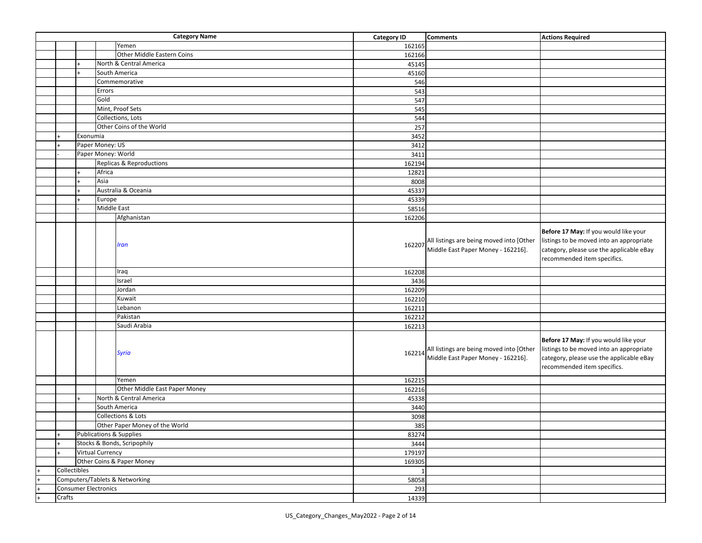|              |          |                             | <b>Category Name</b>               | <b>Category ID</b> | <b>Comments</b>                                                                | <b>Actions Required</b>                                                                                                                                      |
|--------------|----------|-----------------------------|------------------------------------|--------------------|--------------------------------------------------------------------------------|--------------------------------------------------------------------------------------------------------------------------------------------------------------|
|              |          |                             | Yemen                              | 162165             |                                                                                |                                                                                                                                                              |
|              |          |                             | Other Middle Eastern Coins         | 162166             |                                                                                |                                                                                                                                                              |
|              |          |                             | North & Central America            | 45145              |                                                                                |                                                                                                                                                              |
|              |          |                             | South America                      | 45160              |                                                                                |                                                                                                                                                              |
|              |          |                             | Commemorative                      | 546                |                                                                                |                                                                                                                                                              |
|              |          | Errors                      |                                    | 543                |                                                                                |                                                                                                                                                              |
|              |          | Gold                        |                                    | 547                |                                                                                |                                                                                                                                                              |
|              |          |                             | Mint, Proof Sets                   | 545                |                                                                                |                                                                                                                                                              |
|              |          |                             | Collections, Lots                  | 544                |                                                                                |                                                                                                                                                              |
|              |          |                             | Other Coins of the World           | 257                |                                                                                |                                                                                                                                                              |
|              | Exonumia |                             |                                    | 3452               |                                                                                |                                                                                                                                                              |
|              |          | Paper Money: US             |                                    | 3412               |                                                                                |                                                                                                                                                              |
|              |          |                             | Paper Money: World                 | 3411               |                                                                                |                                                                                                                                                              |
|              |          |                             | Replicas & Reproductions           | 162194             |                                                                                |                                                                                                                                                              |
|              |          | Africa                      |                                    | 12821              |                                                                                |                                                                                                                                                              |
|              |          | Asia                        |                                    | 8008               |                                                                                |                                                                                                                                                              |
|              |          |                             | Australia & Oceania                | 45337              |                                                                                |                                                                                                                                                              |
|              |          | Europe                      |                                    | 45339              |                                                                                |                                                                                                                                                              |
|              |          | Middle East                 |                                    | 58516              |                                                                                |                                                                                                                                                              |
|              |          |                             | Afghanistan                        |                    |                                                                                |                                                                                                                                                              |
|              |          |                             |                                    | 162206             |                                                                                |                                                                                                                                                              |
|              |          |                             | Iran                               | 162207             | All listings are being moved into [Other<br>Middle East Paper Money - 162216]. | Before 17 May: If you would like your<br>listings to be moved into an appropriate<br>category, please use the applicable eBay<br>recommended item specifics. |
|              |          |                             |                                    |                    |                                                                                |                                                                                                                                                              |
|              |          |                             | Iraq                               | 162208             |                                                                                |                                                                                                                                                              |
|              |          |                             | Israel                             | 3436               |                                                                                |                                                                                                                                                              |
|              |          |                             | Jordan                             | 162209             |                                                                                |                                                                                                                                                              |
|              |          |                             | Kuwait                             | 162210             |                                                                                |                                                                                                                                                              |
|              |          |                             | Lebanon                            | 162211             |                                                                                |                                                                                                                                                              |
|              |          |                             | Pakistan                           | 162212             |                                                                                |                                                                                                                                                              |
|              |          |                             | Saudi Arabia                       | 162213             |                                                                                |                                                                                                                                                              |
|              |          |                             | <b>Syria</b>                       | 162214             | All listings are being moved into [Other<br>Middle East Paper Money - 162216]. | Before 17 May: If you would like your<br>listings to be moved into an appropriate<br>category, please use the applicable eBay<br>recommended item specifics. |
|              |          |                             | Yemen                              | 162215             |                                                                                |                                                                                                                                                              |
|              |          |                             | Other Middle East Paper Money      | 162216             |                                                                                |                                                                                                                                                              |
|              |          |                             | North & Central America            | 45338              |                                                                                |                                                                                                                                                              |
|              |          |                             | South America                      | 3440               |                                                                                |                                                                                                                                                              |
|              |          |                             | Collections & Lots                 | 3098               |                                                                                |                                                                                                                                                              |
|              |          |                             | Other Paper Money of the World     | 385                |                                                                                |                                                                                                                                                              |
|              |          |                             | <b>Publications &amp; Supplies</b> | 83274              |                                                                                |                                                                                                                                                              |
|              |          |                             | Stocks & Bonds, Scripophily        | 3444               |                                                                                |                                                                                                                                                              |
|              |          | Virtual Currency            |                                    | 179197             |                                                                                |                                                                                                                                                              |
|              |          |                             | Other Coins & Paper Money          | 169305             |                                                                                |                                                                                                                                                              |
| Collectibles |          |                             |                                    | $\mathbf{1}$       |                                                                                |                                                                                                                                                              |
|              |          |                             | Computers/Tablets & Networking     | 58058              |                                                                                |                                                                                                                                                              |
|              |          | <b>Consumer Electronics</b> |                                    | 293                |                                                                                |                                                                                                                                                              |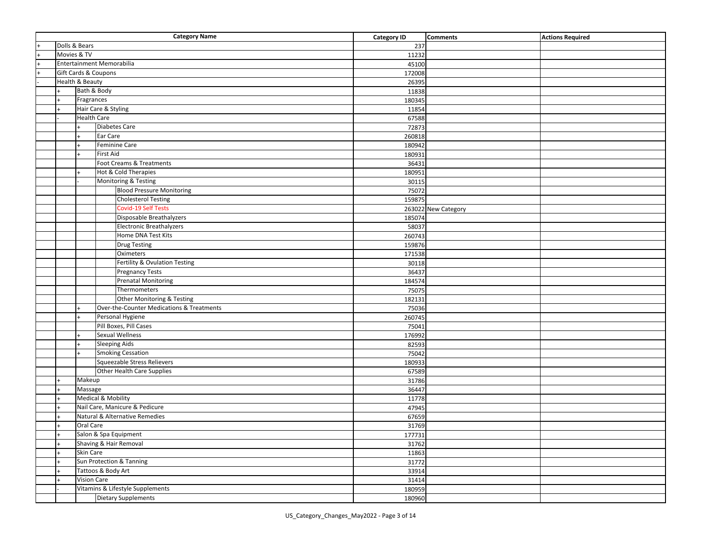| <b>Category Name</b>                        |                                       |                                                           | <b>Category ID</b> | <b>Comments</b>     | <b>Actions Required</b> |
|---------------------------------------------|---------------------------------------|-----------------------------------------------------------|--------------------|---------------------|-------------------------|
| Dolls & Bears                               |                                       |                                                           | 237                |                     |                         |
| Movies & TV                                 |                                       |                                                           | 11232              |                     |                         |
|                                             |                                       | Entertainment Memorabilia                                 | 45100              |                     |                         |
|                                             |                                       | Gift Cards & Coupons                                      | 172008             |                     |                         |
|                                             | Health & Beauty                       |                                                           | 26395              |                     |                         |
|                                             | Bath & Body                           |                                                           | 11838              |                     |                         |
|                                             | Fragrances                            |                                                           | 180345             |                     |                         |
|                                             |                                       | Hair Care & Styling                                       | 11854              |                     |                         |
|                                             | <b>Health Care</b>                    |                                                           | 67588              |                     |                         |
|                                             |                                       | <b>Diabetes Care</b>                                      | 72873              |                     |                         |
|                                             |                                       | Ear Care                                                  | 260818             |                     |                         |
|                                             |                                       | Feminine Care                                             | 180942             |                     |                         |
|                                             |                                       | <b>First Aid</b>                                          | 180931             |                     |                         |
|                                             |                                       | Foot Creams & Treatments                                  | 36431              |                     |                         |
|                                             |                                       | Hot & Cold Therapies                                      | 180951             |                     |                         |
|                                             |                                       | Monitoring & Testing                                      | 30115              |                     |                         |
|                                             |                                       | <b>Blood Pressure Monitoring</b>                          | 75072              |                     |                         |
|                                             |                                       | <b>Cholesterol Testing</b>                                | 159875             |                     |                         |
|                                             |                                       | <b>Covid-19 Self Tests</b>                                |                    | 263022 New Category |                         |
|                                             |                                       | Disposable Breathalyzers                                  | 185074             |                     |                         |
|                                             |                                       | <b>Electronic Breathalyzers</b>                           | 58037              |                     |                         |
|                                             |                                       | Home DNA Test Kits                                        | 260743             |                     |                         |
|                                             |                                       | <b>Drug Testing</b>                                       | 159876             |                     |                         |
|                                             |                                       | Oximeters                                                 | 171538             |                     |                         |
|                                             |                                       | Fertility & Ovulation Testing                             | 30118              |                     |                         |
|                                             |                                       | <b>Pregnancy Tests</b>                                    | 36437              |                     |                         |
|                                             |                                       | <b>Prenatal Monitoring</b>                                | 184574             |                     |                         |
|                                             |                                       | Thermometers                                              | 75075              |                     |                         |
|                                             |                                       | Other Monitoring & Testing                                | 182131             |                     |                         |
|                                             |                                       | Over-the-Counter Medications & Treatments                 | 75036              |                     |                         |
|                                             |                                       | Personal Hygiene                                          | 260745             |                     |                         |
|                                             |                                       | Pill Boxes, Pill Cases                                    | 75041              |                     |                         |
|                                             |                                       | <b>Sexual Wellness</b>                                    | 176992             |                     |                         |
|                                             |                                       | <b>Sleeping Aids</b>                                      | 82593              |                     |                         |
|                                             |                                       | <b>Smoking Cessation</b>                                  | 75042              |                     |                         |
|                                             |                                       | Squeezable Stress Relievers<br>Other Health Care Supplies | 180933             |                     |                         |
|                                             |                                       |                                                           | 67589              |                     |                         |
|                                             | Makeup                                |                                                           | 31786              |                     |                         |
|                                             | Massage                               | <b>Medical &amp; Mobility</b>                             | 36447<br>11778     |                     |                         |
|                                             |                                       |                                                           | 47945              |                     |                         |
| Nail Care, Manicure & Pedicure              |                                       | 67659                                                     |                    |                     |                         |
| Natural & Alternative Remedies<br>Oral Care |                                       | 31769                                                     |                    |                     |                         |
| $+$                                         |                                       | 177731                                                    |                    |                     |                         |
| Salon & Spa Equipment                       |                                       | 31762                                                     |                    |                     |                         |
| Shaving & Hair Removal                      |                                       | 11863                                                     |                    |                     |                         |
|                                             | Skin Care<br>Sun Protection & Tanning |                                                           | 31772              |                     |                         |
|                                             |                                       | Tattoos & Body Art                                        | 33914              |                     |                         |
|                                             | <b>Vision Care</b>                    |                                                           | 31414              |                     |                         |
|                                             |                                       | Vitamins & Lifestyle Supplements                          | 180959             |                     |                         |
|                                             |                                       | <b>Dietary Supplements</b>                                | 180960             |                     |                         |
|                                             |                                       |                                                           |                    |                     |                         |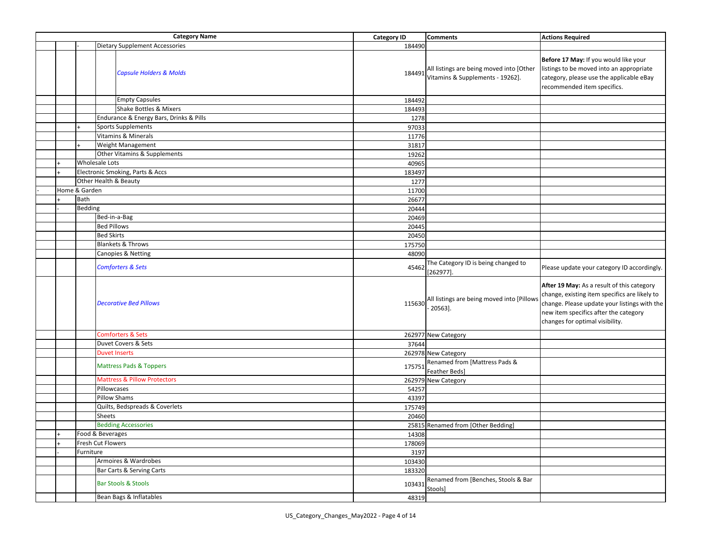| <b>Category Name</b> |               | <b>Category ID</b>                      | <b>Comments</b> | <b>Actions Required</b> |                                                                                     |                                                                                                                                                                                                                         |
|----------------------|---------------|-----------------------------------------|-----------------|-------------------------|-------------------------------------------------------------------------------------|-------------------------------------------------------------------------------------------------------------------------------------------------------------------------------------------------------------------------|
|                      |               | <b>Dietary Supplement Accessories</b>   |                 | 184490                  |                                                                                     |                                                                                                                                                                                                                         |
|                      |               | <b>Capsule Holders &amp; Molds</b>      |                 |                         | 184491 All listings are being moved into [Other<br>Vitamins & Supplements - 19262]. | Before 17 May: If you would like your<br>listings to be moved into an appropriate<br>category, please use the applicable eBay<br>recommended item specifics.                                                            |
|                      |               | <b>Empty Capsules</b>                   |                 | 184492                  |                                                                                     |                                                                                                                                                                                                                         |
|                      |               | Shake Bottles & Mixers                  |                 | 184493                  |                                                                                     |                                                                                                                                                                                                                         |
|                      |               | Endurance & Energy Bars, Drinks & Pills |                 | 1278                    |                                                                                     |                                                                                                                                                                                                                         |
|                      |               | <b>Sports Supplements</b>               |                 | 97033                   |                                                                                     |                                                                                                                                                                                                                         |
|                      |               | <b>Vitamins &amp; Minerals</b>          |                 | 11776                   |                                                                                     |                                                                                                                                                                                                                         |
|                      |               | Weight Management                       |                 | 31817                   |                                                                                     |                                                                                                                                                                                                                         |
|                      |               | Other Vitamins & Supplements            |                 | 19262                   |                                                                                     |                                                                                                                                                                                                                         |
|                      |               | <b>Wholesale Lots</b>                   |                 | 40965                   |                                                                                     |                                                                                                                                                                                                                         |
|                      |               | Electronic Smoking, Parts & Accs        |                 | 183497                  |                                                                                     |                                                                                                                                                                                                                         |
|                      |               | Other Health & Beauty                   |                 | 1277                    |                                                                                     |                                                                                                                                                                                                                         |
|                      | Home & Garden |                                         |                 | 11700                   |                                                                                     |                                                                                                                                                                                                                         |
|                      | Bath          |                                         |                 | 26677                   |                                                                                     |                                                                                                                                                                                                                         |
|                      | Bedding       |                                         |                 | 20444                   |                                                                                     |                                                                                                                                                                                                                         |
|                      |               | Bed-in-a-Bag                            |                 |                         |                                                                                     |                                                                                                                                                                                                                         |
|                      |               | <b>Bed Pillows</b>                      |                 | 20469<br>20445          |                                                                                     |                                                                                                                                                                                                                         |
|                      |               | <b>Bed Skirts</b>                       |                 |                         |                                                                                     |                                                                                                                                                                                                                         |
|                      |               | <b>Blankets &amp; Throws</b>            |                 | 20450                   |                                                                                     |                                                                                                                                                                                                                         |
|                      |               |                                         |                 | 175750                  |                                                                                     |                                                                                                                                                                                                                         |
|                      |               | Canopies & Netting                      |                 | 48090                   |                                                                                     |                                                                                                                                                                                                                         |
|                      |               | <b>Comforters &amp; Sets</b>            |                 | 45462                   | The Category ID is being changed to<br>$[262977]$ .                                 | Please update your category ID accordingly.                                                                                                                                                                             |
|                      |               | <b>Decorative Bed Pillows</b>           |                 | 115630                  | All listings are being moved into [Pillows<br>$20563$ ].                            | After 19 May: As a result of this category<br>change, existing item specifics are likely to<br>change. Please update your listings with the<br>new item specifics after the category<br>changes for optimal visibility. |
|                      |               | <b>Comforters &amp; Sets</b>            |                 |                         | 262977 New Category                                                                 |                                                                                                                                                                                                                         |
|                      |               | Duvet Covers & Sets                     |                 | 37644                   |                                                                                     |                                                                                                                                                                                                                         |
|                      |               | <b>Duvet Inserts</b>                    |                 |                         | 262978 New Category                                                                 |                                                                                                                                                                                                                         |
|                      |               | <b>Mattress Pads &amp; Toppers</b>      |                 | 175751                  | Renamed from [Mattress Pads &<br>Feather Beds]                                      |                                                                                                                                                                                                                         |
|                      |               | <b>Mattress &amp; Pillow Protectors</b> |                 |                         | 262979 New Category                                                                 |                                                                                                                                                                                                                         |
|                      |               | Pillowcases                             |                 | 54257                   |                                                                                     |                                                                                                                                                                                                                         |
|                      |               | <b>Pillow Shams</b>                     |                 | 43397                   |                                                                                     |                                                                                                                                                                                                                         |
|                      |               | Quilts, Bedspreads & Coverlets          |                 | 175749                  |                                                                                     |                                                                                                                                                                                                                         |
|                      |               | Sheets                                  |                 | 20460                   |                                                                                     |                                                                                                                                                                                                                         |
|                      |               | <b>Bedding Accessories</b>              |                 |                         | 25815 Renamed from [Other Bedding]                                                  |                                                                                                                                                                                                                         |
|                      |               | Food & Beverages                        |                 | 14308                   |                                                                                     |                                                                                                                                                                                                                         |
|                      |               | Fresh Cut Flowers                       |                 | 178069                  |                                                                                     |                                                                                                                                                                                                                         |
|                      | Furniture     |                                         |                 | 3197                    |                                                                                     |                                                                                                                                                                                                                         |
|                      |               | Armoires & Wardrobes                    |                 | 103430                  |                                                                                     |                                                                                                                                                                                                                         |
|                      |               | Bar Carts & Serving Carts               |                 | 183320                  |                                                                                     |                                                                                                                                                                                                                         |
|                      |               | <b>Bar Stools &amp; Stools</b>          |                 | 103431                  | Renamed from [Benches, Stools & Bar<br>Stools]                                      |                                                                                                                                                                                                                         |
|                      |               | Bean Bags & Inflatables                 |                 | 48319                   |                                                                                     |                                                                                                                                                                                                                         |
|                      |               |                                         |                 |                         |                                                                                     |                                                                                                                                                                                                                         |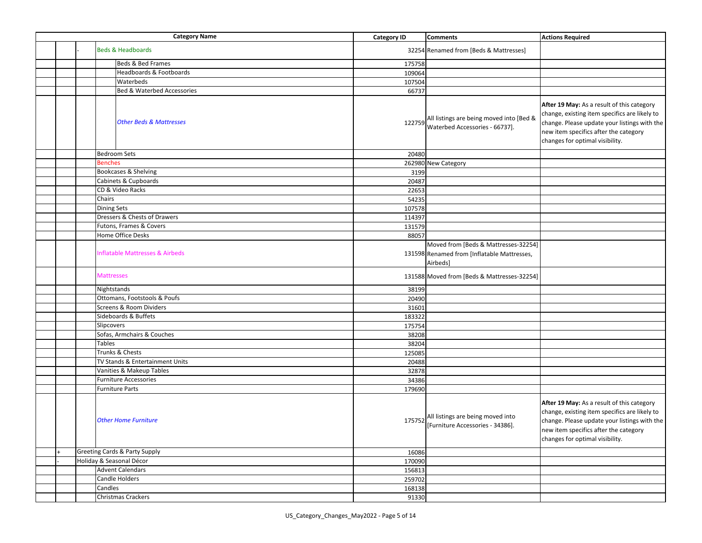| <b>Category Name</b> |  | <b>Category ID</b>                                        | <b>Comments</b> | <b>Actions Required</b>                                                                         |                                                                                                                                                                                                                         |
|----------------------|--|-----------------------------------------------------------|-----------------|-------------------------------------------------------------------------------------------------|-------------------------------------------------------------------------------------------------------------------------------------------------------------------------------------------------------------------------|
|                      |  | <b>Beds &amp; Headboards</b>                              |                 | 32254 Renamed from [Beds & Mattresses]                                                          |                                                                                                                                                                                                                         |
|                      |  | Beds & Bed Frames                                         | 175758          |                                                                                                 |                                                                                                                                                                                                                         |
|                      |  | Headboards & Footboards                                   | 109064          |                                                                                                 |                                                                                                                                                                                                                         |
|                      |  | Waterbeds                                                 | 107504          |                                                                                                 |                                                                                                                                                                                                                         |
|                      |  | <b>Bed &amp; Waterbed Accessories</b>                     | 66737           |                                                                                                 |                                                                                                                                                                                                                         |
|                      |  | <b>Other Beds &amp; Mattresses</b><br><b>Bedroom Sets</b> |                 | 122759 All listings are being moved into [Bed &<br>Waterbed Accessories - 66737].               | After 19 May: As a result of this category<br>change, existing item specifics are likely to<br>change. Please update your listings with the<br>new item specifics after the category<br>changes for optimal visibility. |
|                      |  | <b>Benches</b>                                            | 20480           |                                                                                                 |                                                                                                                                                                                                                         |
|                      |  |                                                           |                 | 262980 New Category                                                                             |                                                                                                                                                                                                                         |
|                      |  | Bookcases & Shelving                                      | 3199            |                                                                                                 |                                                                                                                                                                                                                         |
|                      |  | Cabinets & Cupboards                                      | 20487           |                                                                                                 |                                                                                                                                                                                                                         |
|                      |  | CD & Video Racks<br>Chairs                                | 22653           |                                                                                                 |                                                                                                                                                                                                                         |
|                      |  |                                                           | 54235           |                                                                                                 |                                                                                                                                                                                                                         |
|                      |  | <b>Dining Sets</b><br>Dressers & Chests of Drawers        | 107578          |                                                                                                 |                                                                                                                                                                                                                         |
|                      |  | Futons, Frames & Covers                                   | 114397          |                                                                                                 |                                                                                                                                                                                                                         |
|                      |  | Home Office Desks                                         | 131579<br>88057 |                                                                                                 |                                                                                                                                                                                                                         |
|                      |  |                                                           |                 |                                                                                                 |                                                                                                                                                                                                                         |
|                      |  | <b>Inflatable Mattresses &amp; Airbeds</b>                |                 | Moved from [Beds & Mattresses-32254]<br>131598 Renamed from [Inflatable Mattresses,<br>Airbeds] |                                                                                                                                                                                                                         |
|                      |  | <b>Mattresses</b>                                         |                 | 131588 Moved from [Beds & Mattresses-32254]                                                     |                                                                                                                                                                                                                         |
|                      |  | Nightstands                                               | 38199           |                                                                                                 |                                                                                                                                                                                                                         |
|                      |  | Ottomans, Footstools & Poufs                              | 20490           |                                                                                                 |                                                                                                                                                                                                                         |
|                      |  | Screens & Room Dividers                                   | 31601           |                                                                                                 |                                                                                                                                                                                                                         |
|                      |  | Sideboards & Buffets                                      | 183322          |                                                                                                 |                                                                                                                                                                                                                         |
|                      |  | Slipcovers                                                | 175754          |                                                                                                 |                                                                                                                                                                                                                         |
|                      |  | Sofas, Armchairs & Couches                                | 38208           |                                                                                                 |                                                                                                                                                                                                                         |
|                      |  | Tables                                                    | 38204           |                                                                                                 |                                                                                                                                                                                                                         |
|                      |  | Trunks & Chests                                           | 125085          |                                                                                                 |                                                                                                                                                                                                                         |
|                      |  | TV Stands & Entertainment Units                           | 20488           |                                                                                                 |                                                                                                                                                                                                                         |
|                      |  | Vanities & Makeup Tables                                  | 32878           |                                                                                                 |                                                                                                                                                                                                                         |
|                      |  | <b>Furniture Accessories</b>                              | 34386           |                                                                                                 |                                                                                                                                                                                                                         |
|                      |  | <b>Furniture Parts</b><br><b>Other Home Furniture</b>     | 179690          | 175752 All listings are being moved into<br>[Furniture Accessories - 34386].                    | After 19 May: As a result of this category<br>change, existing item specifics are likely to<br>change. Please update your listings with the<br>new item specifics after the category                                    |
|                      |  | <b>Greeting Cards &amp; Party Supply</b>                  | 16086           |                                                                                                 | changes for optimal visibility.                                                                                                                                                                                         |
|                      |  | Holiday & Seasonal Décor                                  | 170090          |                                                                                                 |                                                                                                                                                                                                                         |
|                      |  | <b>Advent Calendars</b>                                   | 156813          |                                                                                                 |                                                                                                                                                                                                                         |
|                      |  | Candle Holders                                            | 259702          |                                                                                                 |                                                                                                                                                                                                                         |
|                      |  | Candles                                                   | 168138          |                                                                                                 |                                                                                                                                                                                                                         |
|                      |  | <b>Christmas Crackers</b>                                 | 91330           |                                                                                                 |                                                                                                                                                                                                                         |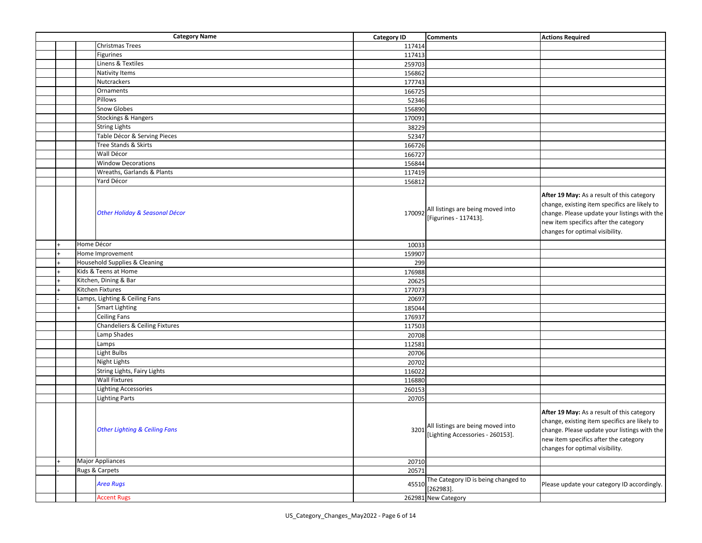|  |            | <b>Category Name</b>                     | <b>Category ID</b> | <b>Comments</b>                                                            | <b>Actions Required</b>                                                                                                                                                                                                 |
|--|------------|------------------------------------------|--------------------|----------------------------------------------------------------------------|-------------------------------------------------------------------------------------------------------------------------------------------------------------------------------------------------------------------------|
|  |            | <b>Christmas Trees</b>                   | 117414             |                                                                            |                                                                                                                                                                                                                         |
|  |            | <b>Figurines</b>                         | 117413             |                                                                            |                                                                                                                                                                                                                         |
|  |            | Linens & Textiles                        | 259703             |                                                                            |                                                                                                                                                                                                                         |
|  |            | <b>Nativity Items</b>                    | 156862             |                                                                            |                                                                                                                                                                                                                         |
|  |            | Nutcrackers                              | 177743             |                                                                            |                                                                                                                                                                                                                         |
|  |            | Ornaments                                | 166725             |                                                                            |                                                                                                                                                                                                                         |
|  |            | Pillows                                  | 52346              |                                                                            |                                                                                                                                                                                                                         |
|  |            | <b>Snow Globes</b>                       | 156890             |                                                                            |                                                                                                                                                                                                                         |
|  |            | <b>Stockings &amp; Hangers</b>           | 170091             |                                                                            |                                                                                                                                                                                                                         |
|  |            | <b>String Lights</b>                     | 38229              |                                                                            |                                                                                                                                                                                                                         |
|  |            | Table Décor & Serving Pieces             | 52347              |                                                                            |                                                                                                                                                                                                                         |
|  |            | Tree Stands & Skirts                     | 166726             |                                                                            |                                                                                                                                                                                                                         |
|  |            | Wall Décor                               | 166727             |                                                                            |                                                                                                                                                                                                                         |
|  |            | <b>Window Decorations</b>                | 156844             |                                                                            |                                                                                                                                                                                                                         |
|  |            | Wreaths, Garlands & Plants               | 117419             |                                                                            |                                                                                                                                                                                                                         |
|  |            | Yard Décor                               | 156812             |                                                                            |                                                                                                                                                                                                                         |
|  |            | Other Holiday & Seasonal Décor           | 170092             | All listings are being moved into<br>[Figurines - 117413].                 | After 19 May: As a result of this category<br>change, existing item specifics are likely to<br>change. Please update your listings with the<br>new item specifics after the category<br>changes for optimal visibility. |
|  | Home Décor |                                          | 10033              |                                                                            |                                                                                                                                                                                                                         |
|  |            | Home Improvement                         | 159907             |                                                                            |                                                                                                                                                                                                                         |
|  |            | Household Supplies & Cleaning            | 299                |                                                                            |                                                                                                                                                                                                                         |
|  |            | Kids & Teens at Home                     | 176988             |                                                                            |                                                                                                                                                                                                                         |
|  |            | Kitchen, Dining & Bar                    | 20625              |                                                                            |                                                                                                                                                                                                                         |
|  |            | Kitchen Fixtures                         | 177073             |                                                                            |                                                                                                                                                                                                                         |
|  |            | Lamps, Lighting & Ceiling Fans           | 20697              |                                                                            |                                                                                                                                                                                                                         |
|  |            | <b>Smart Lighting</b>                    | 185044             |                                                                            |                                                                                                                                                                                                                         |
|  |            | <b>Ceiling Fans</b>                      | 176937             |                                                                            |                                                                                                                                                                                                                         |
|  |            | Chandeliers & Ceiling Fixtures           | 117503             |                                                                            |                                                                                                                                                                                                                         |
|  |            | Lamp Shades                              | 20708              |                                                                            |                                                                                                                                                                                                                         |
|  |            | Lamps                                    | 112581             |                                                                            |                                                                                                                                                                                                                         |
|  |            | <b>Light Bulbs</b>                       | 20706              |                                                                            |                                                                                                                                                                                                                         |
|  |            | Night Lights                             | 20702              |                                                                            |                                                                                                                                                                                                                         |
|  |            | String Lights, Fairy Lights              | 116022             |                                                                            |                                                                                                                                                                                                                         |
|  |            | <b>Wall Fixtures</b>                     | 116880             |                                                                            |                                                                                                                                                                                                                         |
|  |            | <b>Lighting Accessories</b>              | 260153             |                                                                            |                                                                                                                                                                                                                         |
|  |            | <b>Lighting Parts</b>                    | 20705              |                                                                            |                                                                                                                                                                                                                         |
|  |            | <b>Other Lighting &amp; Ceiling Fans</b> |                    | 3201 All listings are being moved into<br>[Lighting Accessories - 260153]. | After 19 May: As a result of this category<br>change, existing item specifics are likely to<br>change. Please update your listings with the<br>new item specifics after the category<br>changes for optimal visibility. |
|  |            | <b>Major Appliances</b>                  | 20710              |                                                                            |                                                                                                                                                                                                                         |
|  |            | Rugs & Carpets                           | 20571              |                                                                            |                                                                                                                                                                                                                         |
|  |            | <b>Area Rugs</b>                         | 45510              | The Category ID is being changed to<br>$[262983]$ .                        | Please update your category ID accordingly.                                                                                                                                                                             |
|  |            | <b>Accent Rugs</b>                       |                    | 262981 New Category                                                        |                                                                                                                                                                                                                         |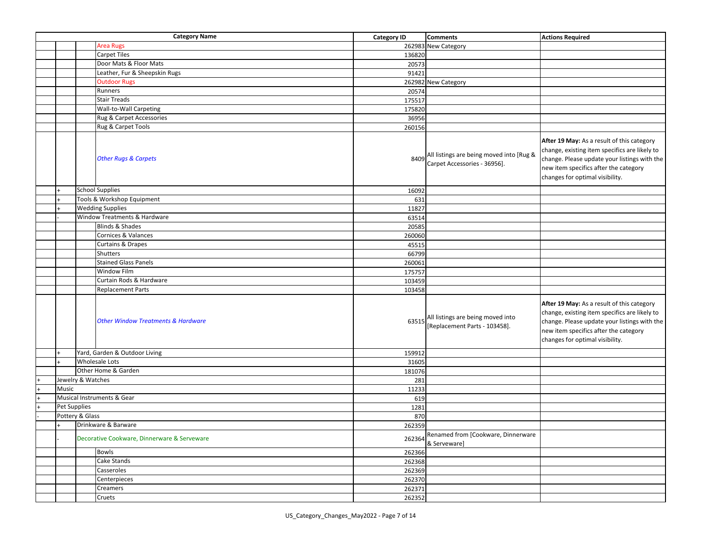|              | <b>Category Name</b>                          | <b>Category ID</b> | <b>Comments</b>                                                          | <b>Actions Required</b>                                                                                                                                                                                                 |
|--------------|-----------------------------------------------|--------------------|--------------------------------------------------------------------------|-------------------------------------------------------------------------------------------------------------------------------------------------------------------------------------------------------------------------|
|              | <b>Area Rugs</b>                              |                    | 262983 New Category                                                      |                                                                                                                                                                                                                         |
|              | <b>Carpet Tiles</b>                           | 136820             |                                                                          |                                                                                                                                                                                                                         |
|              | Door Mats & Floor Mats                        | 20573              |                                                                          |                                                                                                                                                                                                                         |
|              | Leather, Fur & Sheepskin Rugs                 | 91421              |                                                                          |                                                                                                                                                                                                                         |
|              | <b>Outdoor Rugs</b>                           |                    | 262982 New Category                                                      |                                                                                                                                                                                                                         |
|              | Runners                                       | 20574              |                                                                          |                                                                                                                                                                                                                         |
|              | <b>Stair Treads</b>                           | 175517             |                                                                          |                                                                                                                                                                                                                         |
|              | Wall-to-Wall Carpeting                        | 175820             |                                                                          |                                                                                                                                                                                                                         |
|              | Rug & Carpet Accessories                      | 36956              |                                                                          |                                                                                                                                                                                                                         |
|              | Rug & Carpet Tools                            | 260156             |                                                                          |                                                                                                                                                                                                                         |
|              | <b>Other Rugs &amp; Carpets</b>               | 8409               | All listings are being moved into [Rug &<br>Carpet Accessories - 36956]. | After 19 May: As a result of this category<br>change, existing item specifics are likely to<br>change. Please update your listings with the<br>new item specifics after the category<br>changes for optimal visibility. |
|              | <b>School Supplies</b>                        | 16092              |                                                                          |                                                                                                                                                                                                                         |
|              | Tools & Workshop Equipment                    | 631                |                                                                          |                                                                                                                                                                                                                         |
|              | <b>Wedding Supplies</b>                       | 11827              |                                                                          |                                                                                                                                                                                                                         |
|              | Window Treatments & Hardware                  | 63514              |                                                                          |                                                                                                                                                                                                                         |
|              | Blinds & Shades                               | 20585              |                                                                          |                                                                                                                                                                                                                         |
|              | Cornices & Valances                           | 260060             |                                                                          |                                                                                                                                                                                                                         |
|              | <b>Curtains &amp; Drapes</b>                  | 45515              |                                                                          |                                                                                                                                                                                                                         |
|              | Shutters                                      | 66799              |                                                                          |                                                                                                                                                                                                                         |
|              | <b>Stained Glass Panels</b>                   | 260061             |                                                                          |                                                                                                                                                                                                                         |
|              | Window Film                                   | 175757             |                                                                          |                                                                                                                                                                                                                         |
|              | Curtain Rods & Hardware                       | 103459             |                                                                          |                                                                                                                                                                                                                         |
|              | <b>Replacement Parts</b>                      | 103458             |                                                                          |                                                                                                                                                                                                                         |
|              | <b>Other Window Treatments &amp; Hardware</b> | 63515              | All listings are being moved into<br>[Replacement Parts - 103458].       | After 19 May: As a result of this category<br>change, existing item specifics are likely to<br>change. Please update your listings with the<br>new item specifics after the category<br>changes for optimal visibility. |
|              | Yard, Garden & Outdoor Living                 | 159912             |                                                                          |                                                                                                                                                                                                                         |
|              | <b>Wholesale Lots</b>                         | 31605              |                                                                          |                                                                                                                                                                                                                         |
|              | Other Home & Garden                           | 181076             |                                                                          |                                                                                                                                                                                                                         |
|              | Jewelry & Watches                             | 281                |                                                                          |                                                                                                                                                                                                                         |
| Music        |                                               | 11233              |                                                                          |                                                                                                                                                                                                                         |
|              | Musical Instruments & Gear                    | 619                |                                                                          |                                                                                                                                                                                                                         |
| Pet Supplies |                                               | 1281               |                                                                          |                                                                                                                                                                                                                         |
|              | Pottery & Glass                               | 870                |                                                                          |                                                                                                                                                                                                                         |
|              | Drinkware & Barware                           | 262359             |                                                                          |                                                                                                                                                                                                                         |
|              | Decorative Cookware, Dinnerware & Serveware   | 262364             | Renamed from [Cookware, Dinnerware<br>& Serveware]                       |                                                                                                                                                                                                                         |
|              | Bowls                                         | 262366             |                                                                          |                                                                                                                                                                                                                         |
|              | Cake Stands                                   | 262368             |                                                                          |                                                                                                                                                                                                                         |
|              | Casseroles                                    | 262369             |                                                                          |                                                                                                                                                                                                                         |
|              | Centerpieces                                  | 262370             |                                                                          |                                                                                                                                                                                                                         |
|              | Creamers                                      | 262371             |                                                                          |                                                                                                                                                                                                                         |
|              | Cruets                                        | 262352             |                                                                          |                                                                                                                                                                                                                         |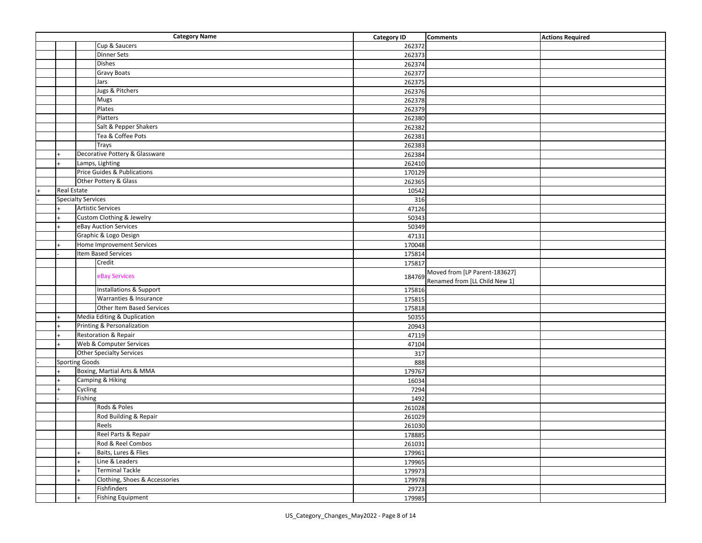| <b>Category Name</b> |                           |                                    | <b>Category ID</b> | <b>Comments</b>                                                | <b>Actions Required</b> |
|----------------------|---------------------------|------------------------------------|--------------------|----------------------------------------------------------------|-------------------------|
|                      |                           | Cup & Saucers                      | 262372             |                                                                |                         |
|                      |                           | <b>Dinner Sets</b>                 | 262373             |                                                                |                         |
|                      |                           | <b>Dishes</b>                      | 262374             |                                                                |                         |
|                      |                           | <b>Gravy Boats</b>                 | 262377             |                                                                |                         |
|                      |                           | Jars                               | 262375             |                                                                |                         |
|                      |                           | Jugs & Pitchers                    | 262376             |                                                                |                         |
|                      |                           | Mugs                               | 262378             |                                                                |                         |
|                      |                           | Plates                             | 262379             |                                                                |                         |
|                      |                           | Platters                           | 262380             |                                                                |                         |
|                      |                           | Salt & Pepper Shakers              | 262382             |                                                                |                         |
|                      |                           | Tea & Coffee Pots                  | 262381             |                                                                |                         |
|                      |                           | Trays                              | 262383             |                                                                |                         |
|                      |                           | Decorative Pottery & Glassware     | 262384             |                                                                |                         |
|                      |                           | Lamps, Lighting                    | 262410             |                                                                |                         |
|                      |                           | Price Guides & Publications        | 170129             |                                                                |                         |
|                      |                           | Other Pottery & Glass              | 262365             |                                                                |                         |
| <b>Real Estate</b>   |                           |                                    | 10542              |                                                                |                         |
|                      | <b>Specialty Services</b> |                                    | 316                |                                                                |                         |
|                      |                           | <b>Artistic Services</b>           | 47126              |                                                                |                         |
|                      |                           | Custom Clothing & Jewelry          | 50343              |                                                                |                         |
|                      |                           | eBay Auction Services              | 50349              |                                                                |                         |
|                      |                           | Graphic & Logo Design              | 47131              |                                                                |                         |
|                      |                           | Home Improvement Services          | 170048             |                                                                |                         |
|                      |                           | Item Based Services                | 175814             |                                                                |                         |
|                      |                           | Credit                             | 175817             |                                                                |                         |
|                      |                           | eBay Services                      | 184769             | Moved from [LP Parent-183627]<br>Renamed from [LL Child New 1] |                         |
|                      |                           | <b>Installations &amp; Support</b> | 175816             |                                                                |                         |
|                      |                           | Warranties & Insurance             | 175815             |                                                                |                         |
|                      |                           | Other Item Based Services          | 175818             |                                                                |                         |
|                      |                           | Media Editing & Duplication        | 50355              |                                                                |                         |
|                      |                           | Printing & Personalization         | 20943              |                                                                |                         |
| $+$                  |                           | Restoration & Repair               | 47119              |                                                                |                         |
|                      |                           | Web & Computer Services            | 47104              |                                                                |                         |
|                      |                           | <b>Other Specialty Services</b>    | 317                |                                                                |                         |
|                      | <b>Sporting Goods</b>     |                                    | 888                |                                                                |                         |
|                      |                           | Boxing, Martial Arts & MMA         | 179767             |                                                                |                         |
|                      |                           | Camping & Hiking                   | 16034              |                                                                |                         |
|                      | Cycling                   |                                    | 7294               |                                                                |                         |
|                      | Fishing                   |                                    | 1492               |                                                                |                         |
|                      |                           | Rods & Poles                       | 261028             |                                                                |                         |
|                      |                           | Rod Building & Repair              | 261029             |                                                                |                         |
|                      |                           | Reels                              | 261030             |                                                                |                         |
|                      |                           | Reel Parts & Repair                | 178885             |                                                                |                         |
|                      |                           | Rod & Reel Combos                  | 261031             |                                                                |                         |
|                      |                           | Baits, Lures & Flies               | 179961             |                                                                |                         |
|                      |                           | Line & Leaders                     | 179965             |                                                                |                         |
|                      |                           | <b>Terminal Tackle</b>             | 179973             |                                                                |                         |
|                      |                           | Clothing, Shoes & Accessories      | 179978             |                                                                |                         |
|                      |                           | Fishfinders                        | 29723              |                                                                |                         |
|                      |                           | <b>Fishing Equipment</b>           | 179985             |                                                                |                         |
|                      |                           |                                    |                    |                                                                |                         |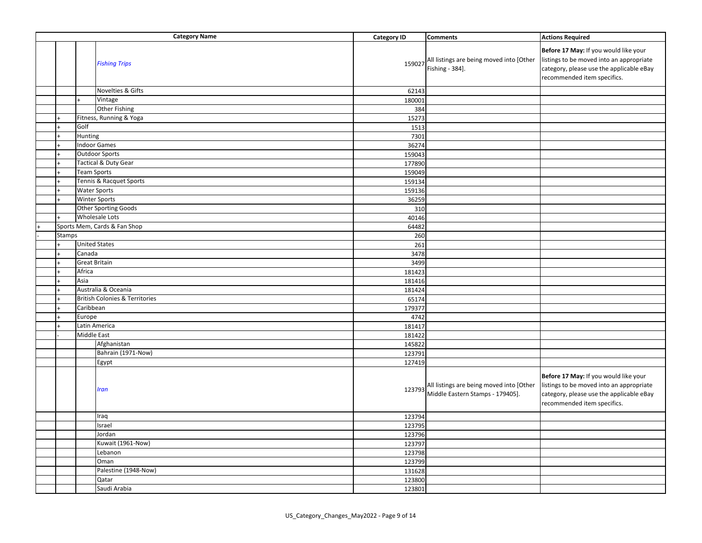|        |                      | <b>Category Name</b>                      | <b>Category ID</b> | <b>Comments</b>                                                              | <b>Actions Required</b>                                                                                                                                      |
|--------|----------------------|-------------------------------------------|--------------------|------------------------------------------------------------------------------|--------------------------------------------------------------------------------------------------------------------------------------------------------------|
|        |                      | <b>Fishing Trips</b>                      | 159027             | All listings are being moved into [Other<br>Fishing - 384].                  | Before 17 May: If you would like your<br>listings to be moved into an appropriate<br>category, please use the applicable eBay<br>recommended item specifics. |
|        |                      | Novelties & Gifts                         | 62143              |                                                                              |                                                                                                                                                              |
|        |                      | Vintage                                   | 180001             |                                                                              |                                                                                                                                                              |
|        |                      | <b>Other Fishing</b>                      | 384                |                                                                              |                                                                                                                                                              |
|        |                      | Fitness, Running & Yoga                   | 15273              |                                                                              |                                                                                                                                                              |
|        | Golf                 |                                           | 1513               |                                                                              |                                                                                                                                                              |
|        | Hunting              |                                           | 7301               |                                                                              |                                                                                                                                                              |
|        |                      | <b>Indoor Games</b>                       | 36274              |                                                                              |                                                                                                                                                              |
|        |                      | <b>Outdoor Sports</b>                     | 159043             |                                                                              |                                                                                                                                                              |
|        |                      | Tactical & Duty Gear                      | 177890             |                                                                              |                                                                                                                                                              |
|        | <b>Team Sports</b>   |                                           | 159049             |                                                                              |                                                                                                                                                              |
|        |                      | Tennis & Racquet Sports                   | 159134             |                                                                              |                                                                                                                                                              |
|        | <b>Water Sports</b>  |                                           | 159136             |                                                                              |                                                                                                                                                              |
|        |                      | Winter Sports                             | 36259              |                                                                              |                                                                                                                                                              |
|        |                      | Other Sporting Goods                      | 310                |                                                                              |                                                                                                                                                              |
|        |                      | Wholesale Lots                            | 40146              |                                                                              |                                                                                                                                                              |
|        |                      | Sports Mem, Cards & Fan Shop              | 64482              |                                                                              |                                                                                                                                                              |
| Stamps |                      |                                           | 260                |                                                                              |                                                                                                                                                              |
|        | <b>United States</b> |                                           | 261                |                                                                              |                                                                                                                                                              |
|        | Canada               |                                           | 3478               |                                                                              |                                                                                                                                                              |
|        | <b>Great Britain</b> |                                           | 3499               |                                                                              |                                                                                                                                                              |
|        | Africa               |                                           | 181423             |                                                                              |                                                                                                                                                              |
|        | Asia                 |                                           | 181416             |                                                                              |                                                                                                                                                              |
|        |                      | Australia & Oceania                       | 181424             |                                                                              |                                                                                                                                                              |
|        |                      | <b>British Colonies &amp; Territories</b> | 65174              |                                                                              |                                                                                                                                                              |
|        | Caribbean            |                                           | 179377             |                                                                              |                                                                                                                                                              |
|        | Europe               |                                           | 4742               |                                                                              |                                                                                                                                                              |
|        |                      | Latin America                             | 181417             |                                                                              |                                                                                                                                                              |
|        | <b>Middle East</b>   |                                           | 181422             |                                                                              |                                                                                                                                                              |
|        |                      | Afghanistan                               | 145822             |                                                                              |                                                                                                                                                              |
|        |                      | Bahrain (1971-Now)                        | 123791             |                                                                              |                                                                                                                                                              |
|        |                      |                                           | 127419             |                                                                              |                                                                                                                                                              |
|        |                      | Egypt                                     |                    |                                                                              |                                                                                                                                                              |
|        |                      | Iran                                      | 123793             | All listings are being moved into [Other<br>Middle Eastern Stamps - 179405]. | Before 17 May: If you would like your<br>listings to be moved into an appropriate<br>category, please use the applicable eBay<br>recommended item specifics. |
|        |                      | Iraq                                      | 123794             |                                                                              |                                                                                                                                                              |
|        |                      | Israel                                    | 123795             |                                                                              |                                                                                                                                                              |
|        |                      | Jordan                                    | 123796             |                                                                              |                                                                                                                                                              |
|        |                      | Kuwait (1961-Now)                         | 123797             |                                                                              |                                                                                                                                                              |
|        |                      | Lebanon                                   | 123798             |                                                                              |                                                                                                                                                              |
|        |                      | Oman                                      | 123799             |                                                                              |                                                                                                                                                              |
|        |                      | Palestine (1948-Now)                      | 131628             |                                                                              |                                                                                                                                                              |
|        |                      | Qatar                                     | 123800             |                                                                              |                                                                                                                                                              |
|        |                      | Saudi Arabia                              | 123801             |                                                                              |                                                                                                                                                              |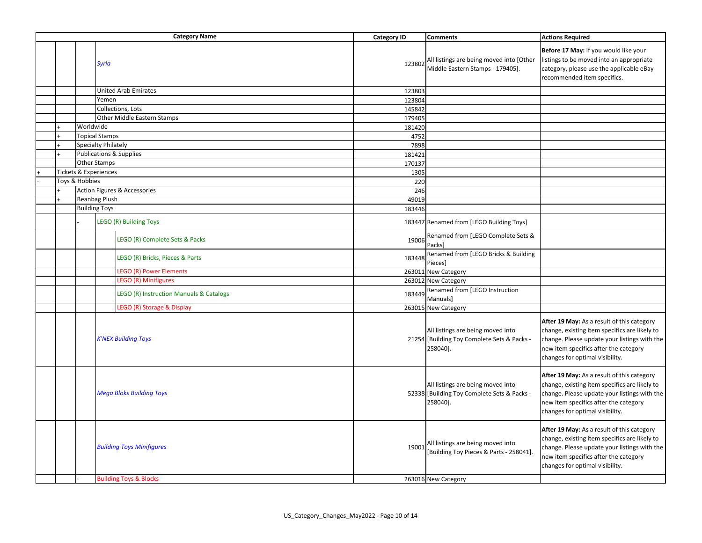|  |                | <b>Category Name</b>                    | <b>Category ID</b> | <b>Comments</b>                                                                              | <b>Actions Required</b>                                                                                                                                                                                                 |
|--|----------------|-----------------------------------------|--------------------|----------------------------------------------------------------------------------------------|-------------------------------------------------------------------------------------------------------------------------------------------------------------------------------------------------------------------------|
|  |                | <b>Syria</b>                            | 123802             | All listings are being moved into [Other<br>Middle Eastern Stamps - 179405].                 | Before 17 May: If you would like your<br>listings to be moved into an appropriate<br>category, please use the applicable eBay<br>recommended item specifics.                                                            |
|  |                | <b>United Arab Emirates</b>             | 123803             |                                                                                              |                                                                                                                                                                                                                         |
|  |                | Yemen                                   | 123804             |                                                                                              |                                                                                                                                                                                                                         |
|  |                | Collections, Lots                       | 145842             |                                                                                              |                                                                                                                                                                                                                         |
|  |                | <b>Other Middle Eastern Stamps</b>      | 179405             |                                                                                              |                                                                                                                                                                                                                         |
|  | Worldwide      |                                         | 181420             |                                                                                              |                                                                                                                                                                                                                         |
|  |                | <b>Topical Stamps</b>                   | 4752               |                                                                                              |                                                                                                                                                                                                                         |
|  |                | Specialty Philately                     | 7898               |                                                                                              |                                                                                                                                                                                                                         |
|  |                | <b>Publications &amp; Supplies</b>      | 181421             |                                                                                              |                                                                                                                                                                                                                         |
|  |                | <b>Other Stamps</b>                     | 170137             |                                                                                              |                                                                                                                                                                                                                         |
|  |                | <b>Tickets &amp; Experiences</b>        | 1305               |                                                                                              |                                                                                                                                                                                                                         |
|  | Toys & Hobbies |                                         | 220                |                                                                                              |                                                                                                                                                                                                                         |
|  |                | <b>Action Figures &amp; Accessories</b> | 246                |                                                                                              |                                                                                                                                                                                                                         |
|  |                | <b>Beanbag Plush</b>                    | 49019              |                                                                                              |                                                                                                                                                                                                                         |
|  |                | <b>Building Toys</b>                    | 183446             |                                                                                              |                                                                                                                                                                                                                         |
|  |                | LEGO (R) Building Toys                  |                    | 183447 Renamed from [LEGO Building Toys]                                                     |                                                                                                                                                                                                                         |
|  |                | LEGO (R) Complete Sets & Packs          | 19006              | Renamed from [LEGO Complete Sets &<br>Packs]                                                 |                                                                                                                                                                                                                         |
|  |                | LEGO (R) Bricks, Pieces & Parts         | 183448             | Renamed from [LEGO Bricks & Building<br>Pieces]                                              |                                                                                                                                                                                                                         |
|  |                | <b>LEGO (R) Power Elements</b>          |                    | 263011 New Category                                                                          |                                                                                                                                                                                                                         |
|  |                | <b>LEGO (R) Minifigures</b>             |                    | 263012 New Category                                                                          |                                                                                                                                                                                                                         |
|  |                | LEGO (R) Instruction Manuals & Catalogs | 183449             | Renamed from [LEGO Instruction<br>Manuals]                                                   |                                                                                                                                                                                                                         |
|  |                | LEGO (R) Storage & Display              |                    | 263015 New Category                                                                          |                                                                                                                                                                                                                         |
|  |                | <b>K'NEX Building Toys</b>              |                    | All listings are being moved into<br>21254 [Building Toy Complete Sets & Packs -<br>258040]. | After 19 May: As a result of this category<br>change, existing item specifics are likely to<br>change. Please update your listings with the<br>new item specifics after the category<br>changes for optimal visibility. |
|  |                | <b>Mega Bloks Building Toys</b>         |                    | All listings are being moved into<br>52338 [Building Toy Complete Sets & Packs -<br>258040]. | After 19 May: As a result of this category<br>change, existing item specifics are likely to<br>change. Please update your listings with the<br>new item specifics after the category<br>changes for optimal visibility. |
|  |                | <b>Building Toys Minifigures</b>        | 19001              | All listings are being moved into<br>[Building Toy Pieces & Parts - 258041]                  | After 19 May: As a result of this category<br>change, existing item specifics are likely to<br>change. Please update your listings with the<br>new item specifics after the category<br>changes for optimal visibility. |
|  |                | <b>Building Toys &amp; Blocks</b>       |                    | 263016 New Category                                                                          |                                                                                                                                                                                                                         |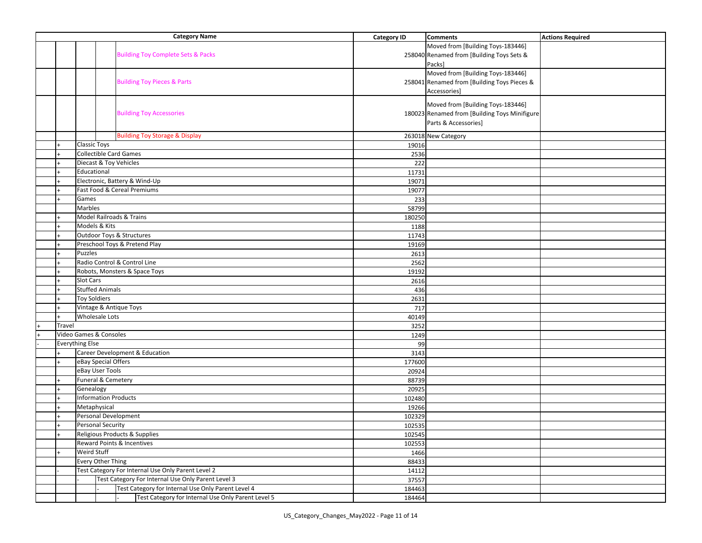|        | <b>Category Name</b>                                                | <b>Category ID</b> | <b>Comments</b>                               | <b>Actions Required</b> |
|--------|---------------------------------------------------------------------|--------------------|-----------------------------------------------|-------------------------|
|        |                                                                     |                    | Moved from [Building Toys-183446]             |                         |
|        | <b>Building Toy Complete Sets &amp; Packs</b>                       |                    | 258040 Renamed from [Building Toys Sets &     |                         |
|        |                                                                     |                    | Packs]                                        |                         |
|        |                                                                     |                    | Moved from [Building Toys-183446]             |                         |
|        | <b>Building Toy Pieces &amp; Parts</b>                              |                    | 258041 Renamed from [Building Toys Pieces &   |                         |
|        |                                                                     |                    | Accessories]                                  |                         |
|        |                                                                     |                    |                                               |                         |
|        |                                                                     |                    | Moved from [Building Toys-183446]             |                         |
|        | <b>Building Toy Accessories</b>                                     |                    | 180023 Renamed from [Building Toys Minifigure |                         |
|        |                                                                     |                    | Parts & Accessories]                          |                         |
|        | <b>Building Toy Storage &amp; Display</b>                           |                    | 263018 New Category                           |                         |
|        | <b>Classic Toys</b>                                                 | 19016              |                                               |                         |
|        | <b>Collectible Card Games</b>                                       | 2536               |                                               |                         |
|        | Diecast & Toy Vehicles                                              | 222                |                                               |                         |
|        | Educational                                                         | 11731              |                                               |                         |
|        | Electronic, Battery & Wind-Up                                       | 19071              |                                               |                         |
|        | Fast Food & Cereal Premiums                                         | 19077              |                                               |                         |
|        | Games                                                               | 233                |                                               |                         |
|        | Marbles                                                             | 58799              |                                               |                         |
|        | Model Railroads & Trains                                            | 180250             |                                               |                         |
|        | Models & Kits                                                       | 1188               |                                               |                         |
|        | Outdoor Toys & Structures                                           | 11743              |                                               |                         |
|        | Preschool Toys & Pretend Play                                       | 19169              |                                               |                         |
|        | <b>Puzzles</b>                                                      | 2613               |                                               |                         |
|        | Radio Control & Control Line                                        | 2562               |                                               |                         |
|        | Robots, Monsters & Space Toys                                       |                    |                                               |                         |
|        | <b>Slot Cars</b>                                                    | 19192<br>2616      |                                               |                         |
|        | <b>Stuffed Animals</b>                                              |                    |                                               |                         |
|        | <b>Toy Soldiers</b>                                                 | 436                |                                               |                         |
|        |                                                                     | 2631               |                                               |                         |
|        | Vintage & Antique Toys<br><b>Wholesale Lots</b>                     | 717                |                                               |                         |
|        |                                                                     | 40149              |                                               |                         |
| Travel |                                                                     | 3252               |                                               |                         |
|        | Video Games & Consoles                                              | 1249               |                                               |                         |
|        | <b>Everything Else</b><br><b>Career Development &amp; Education</b> | 99                 |                                               |                         |
|        |                                                                     | 3143               |                                               |                         |
|        | eBay Special Offers                                                 | 177600             |                                               |                         |
|        | eBay User Tools<br>Funeral & Cemetery                               | 20924              |                                               |                         |
|        |                                                                     | 88739              |                                               |                         |
|        | Genealogy                                                           | 20925              |                                               |                         |
|        | <b>Information Products</b>                                         | 102480             |                                               |                         |
|        | Metaphysical                                                        | 19266              |                                               |                         |
|        | Personal Development                                                | 102329             |                                               |                         |
| $+$    | <b>Personal Security</b>                                            | 102535             |                                               |                         |
|        | Religious Products & Supplies                                       | 102545             |                                               |                         |
|        | Reward Points & Incentives                                          | 102553             |                                               |                         |
|        | Weird Stuff                                                         | 1466               |                                               |                         |
|        | Every Other Thing                                                   | 88433              |                                               |                         |
|        | Test Category For Internal Use Only Parent Level 2                  | 14112              |                                               |                         |
|        | Test Category For Internal Use Only Parent Level 3                  | 37557              |                                               |                         |
|        | Test Category for Internal Use Only Parent Level 4                  | 184463             |                                               |                         |
|        | Test Category for Internal Use Only Parent Level 5                  | 184464             |                                               |                         |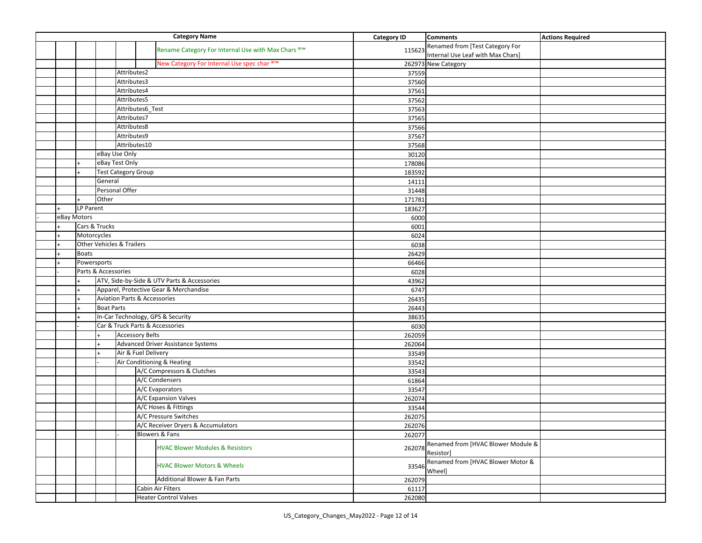| <b>Category Name</b> |              |                                                                                       |             |  |                                                    | <b>Category ID</b> | <b>Comments</b>                                                      | <b>Actions Required</b> |
|----------------------|--------------|---------------------------------------------------------------------------------------|-------------|--|----------------------------------------------------|--------------------|----------------------------------------------------------------------|-------------------------|
|                      |              |                                                                                       |             |  | Rename Category For Internal Use with Max Chars ®™ | 115623             | Renamed from [Test Category For<br>Internal Use Leaf with Max Chars] |                         |
|                      |              |                                                                                       |             |  | New Category For Internal Use spec char ®™         |                    | 262973 New Category                                                  |                         |
|                      |              |                                                                                       | Attributes2 |  |                                                    | 37559              |                                                                      |                         |
|                      |              |                                                                                       | Attributes3 |  |                                                    | 37560              |                                                                      |                         |
|                      |              |                                                                                       | Attributes4 |  |                                                    | 37561              |                                                                      |                         |
|                      |              | Attributes5                                                                           |             |  |                                                    | 37562              |                                                                      |                         |
|                      |              |                                                                                       |             |  |                                                    | 37563              |                                                                      |                         |
|                      |              | Attributes6_Test<br>Attributes7                                                       |             |  |                                                    | 37565              |                                                                      |                         |
|                      |              | Attributes8                                                                           |             |  |                                                    | 37566              |                                                                      |                         |
|                      |              | Attributes9                                                                           |             |  |                                                    | 37567              |                                                                      |                         |
|                      |              |                                                                                       |             |  |                                                    | 37568              |                                                                      |                         |
|                      |              | Attributes10<br>eBay Use Only                                                         |             |  |                                                    | 30120              |                                                                      |                         |
|                      |              | eBay Test Only                                                                        |             |  |                                                    | 178086             |                                                                      |                         |
|                      | $\ddot{}$    | <b>Test Category Group</b>                                                            |             |  |                                                    | 183592             |                                                                      |                         |
|                      |              | General                                                                               |             |  |                                                    | 14111              |                                                                      |                         |
|                      |              | Personal Offer                                                                        |             |  |                                                    | 31448              |                                                                      |                         |
|                      | $\ddot{+}$   | Other                                                                                 |             |  |                                                    | 171781             |                                                                      |                         |
|                      | LP Parent    |                                                                                       |             |  |                                                    | 183627             |                                                                      |                         |
|                      | eBay Motors  |                                                                                       |             |  |                                                    | 6000               |                                                                      |                         |
|                      |              | Cars & Trucks                                                                         |             |  |                                                    | 6001               |                                                                      |                         |
|                      | Motorcycles  |                                                                                       |             |  |                                                    | 6024               |                                                                      |                         |
|                      |              | <b>Other Vehicles &amp; Trailers</b>                                                  |             |  |                                                    | 6038               |                                                                      |                         |
|                      | <b>Boats</b> |                                                                                       |             |  |                                                    | 26429              |                                                                      |                         |
|                      |              | Powersports                                                                           |             |  |                                                    | 66466              |                                                                      |                         |
|                      |              | Parts & Accessories                                                                   |             |  |                                                    | 6028               |                                                                      |                         |
|                      |              |                                                                                       |             |  |                                                    |                    |                                                                      |                         |
|                      |              | ATV, Side-by-Side & UTV Parts & Accessories<br>Apparel, Protective Gear & Merchandise |             |  |                                                    | 43962              |                                                                      |                         |
|                      |              |                                                                                       |             |  |                                                    | 6747               |                                                                      |                         |
|                      |              | <b>Aviation Parts &amp; Accessories</b><br><b>Boat Parts</b>                          |             |  |                                                    | 26435              |                                                                      |                         |
|                      | $\ddot{}$    |                                                                                       |             |  |                                                    | 26443              |                                                                      |                         |
|                      |              |                                                                                       |             |  | In-Car Technology, GPS & Security                  | 38635              |                                                                      |                         |
|                      |              |                                                                                       |             |  | Car & Truck Parts & Accessories                    | 6030               |                                                                      |                         |
|                      |              | <b>Accessory Belts</b>                                                                |             |  |                                                    | 262059             |                                                                      |                         |
|                      |              | Advanced Driver Assistance Systems                                                    |             |  |                                                    | 262064             |                                                                      |                         |
|                      |              | Air & Fuel Delivery<br>Air Conditioning & Heating                                     |             |  |                                                    | 33549              |                                                                      |                         |
|                      |              |                                                                                       |             |  |                                                    | 33542              |                                                                      |                         |
|                      |              |                                                                                       |             |  | A/C Compressors & Clutches                         | 33543              |                                                                      |                         |
|                      |              |                                                                                       |             |  | A/C Condensers                                     | 61864              |                                                                      |                         |
|                      |              |                                                                                       |             |  | A/C Evaporators                                    | 33547              |                                                                      |                         |
|                      |              |                                                                                       |             |  | A/C Expansion Valves                               | 262074             |                                                                      |                         |
|                      |              |                                                                                       |             |  | A/C Hoses & Fittings                               | 33544              |                                                                      |                         |
|                      |              |                                                                                       |             |  | A/C Pressure Switches                              | 262075             |                                                                      |                         |
|                      |              |                                                                                       |             |  | A/C Receiver Dryers & Accumulators                 | 262076             |                                                                      |                         |
|                      |              |                                                                                       |             |  | <b>Blowers &amp; Fans</b>                          | 262077             |                                                                      |                         |
|                      |              |                                                                                       |             |  | <b>HVAC Blower Modules &amp; Resistors</b>         | 262078             | Renamed from [HVAC Blower Module &<br>Resistor]                      |                         |
|                      |              |                                                                                       |             |  | <b>HVAC Blower Motors &amp; Wheels</b>             | 33546              | Renamed from [HVAC Blower Motor &<br>Wheel]                          |                         |
|                      |              |                                                                                       |             |  | Additional Blower & Fan Parts                      | 262079             |                                                                      |                         |
|                      |              |                                                                                       |             |  | Cabin Air Filters                                  | 61117              |                                                                      |                         |
|                      |              |                                                                                       |             |  | <b>Heater Control Valves</b>                       | 262080             |                                                                      |                         |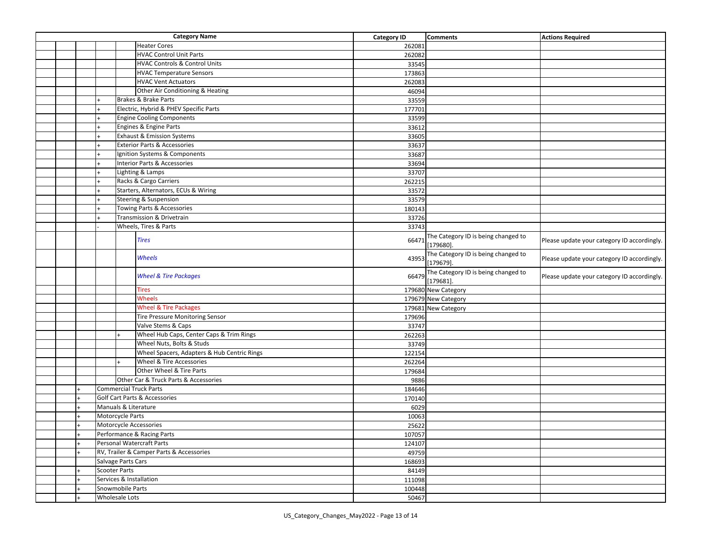| <b>Heater Cores</b><br>262081<br><b>HVAC Control Unit Parts</b><br>262082<br><b>HVAC Controls &amp; Control Units</b><br>33545<br><b>HVAC Temperature Sensors</b><br>173863<br><b>HVAC Vent Actuators</b><br>262083<br>Other Air Conditioning & Heating<br>46094<br><b>Brakes &amp; Brake Parts</b><br>33559<br>Electric, Hybrid & PHEV Specific Parts<br>177701<br><b>Engine Cooling Components</b><br>33599<br>Engines & Engine Parts<br>33612<br><b>Exhaust &amp; Emission Systems</b><br>33605<br><b>Exterior Parts &amp; Accessories</b><br>33637<br>Ignition Systems & Components<br>33687<br><b>Interior Parts &amp; Accessories</b><br>33694<br>Lighting & Lamps<br>33707<br>Racks & Cargo Carriers<br>262215<br>Starters, Alternators, ECUs & Wiring<br>33572<br><b>Steering &amp; Suspension</b><br>33579<br>Towing Parts & Accessories<br>180143<br>Transmission & Drivetrain<br>33726<br>Wheels, Tires & Parts<br>33743<br>The Category ID is being changed to<br><b>Tires</b><br>66471<br>Please update your category ID accordingly.<br>$[179680]$ .<br>The Category ID is being changed to<br>Wheels<br>43953<br>Please update your category ID accordingly.<br>$[179679]$ .<br>The Category ID is being changed to<br><b>Wheel &amp; Tire Packages</b><br>66479<br>Please update your category ID accordingly.<br>$[179681]$ .<br><b>Tires</b><br>179680 New Category<br>Wheels<br>179679 New Category<br><b>Wheel &amp; Tire Packages</b><br>179681 New Category<br><b>Tire Pressure Monitoring Sensor</b><br>179696<br>Valve Stems & Caps<br>33747<br>Wheel Hub Caps, Center Caps & Trim Rings<br>262263<br>Wheel Nuts, Bolts & Studs<br>33749<br>Wheel Spacers, Adapters & Hub Centric Rings<br>122154<br>Wheel & Tire Accessories<br>262264<br>Other Wheel & Tire Parts<br>179684<br>Other Car & Truck Parts & Accessories<br>9886<br><b>Commercial Truck Parts</b><br>184646<br><b>Golf Cart Parts &amp; Accessories</b><br>170140<br>Manuals & Literature<br>6029<br>Motorcycle Parts<br>10063<br>Motorcycle Accessories<br>25622<br>Performance & Racing Parts<br>107057<br>Personal Watercraft Parts<br>124107<br>RV, Trailer & Camper Parts & Accessories<br>49759<br>Salvage Parts Cars<br>168693<br><b>Scooter Parts</b><br>84149<br>Services & Installation<br>111098<br>Snowmobile Parts<br>100448<br><b>Wholesale Lots</b><br>50467 |  |  |  | <b>Category Name</b> | <b>Category ID</b> | <b>Comments</b> | <b>Actions Required</b> |
|-------------------------------------------------------------------------------------------------------------------------------------------------------------------------------------------------------------------------------------------------------------------------------------------------------------------------------------------------------------------------------------------------------------------------------------------------------------------------------------------------------------------------------------------------------------------------------------------------------------------------------------------------------------------------------------------------------------------------------------------------------------------------------------------------------------------------------------------------------------------------------------------------------------------------------------------------------------------------------------------------------------------------------------------------------------------------------------------------------------------------------------------------------------------------------------------------------------------------------------------------------------------------------------------------------------------------------------------------------------------------------------------------------------------------------------------------------------------------------------------------------------------------------------------------------------------------------------------------------------------------------------------------------------------------------------------------------------------------------------------------------------------------------------------------------------------------------------------------------------------------------------------------------------------------------------------------------------------------------------------------------------------------------------------------------------------------------------------------------------------------------------------------------------------------------------------------------------------------------------------------------------------------------------------------------------------------------------------------------------------|--|--|--|----------------------|--------------------|-----------------|-------------------------|
|                                                                                                                                                                                                                                                                                                                                                                                                                                                                                                                                                                                                                                                                                                                                                                                                                                                                                                                                                                                                                                                                                                                                                                                                                                                                                                                                                                                                                                                                                                                                                                                                                                                                                                                                                                                                                                                                                                                                                                                                                                                                                                                                                                                                                                                                                                                                                                   |  |  |  |                      |                    |                 |                         |
|                                                                                                                                                                                                                                                                                                                                                                                                                                                                                                                                                                                                                                                                                                                                                                                                                                                                                                                                                                                                                                                                                                                                                                                                                                                                                                                                                                                                                                                                                                                                                                                                                                                                                                                                                                                                                                                                                                                                                                                                                                                                                                                                                                                                                                                                                                                                                                   |  |  |  |                      |                    |                 |                         |
|                                                                                                                                                                                                                                                                                                                                                                                                                                                                                                                                                                                                                                                                                                                                                                                                                                                                                                                                                                                                                                                                                                                                                                                                                                                                                                                                                                                                                                                                                                                                                                                                                                                                                                                                                                                                                                                                                                                                                                                                                                                                                                                                                                                                                                                                                                                                                                   |  |  |  |                      |                    |                 |                         |
|                                                                                                                                                                                                                                                                                                                                                                                                                                                                                                                                                                                                                                                                                                                                                                                                                                                                                                                                                                                                                                                                                                                                                                                                                                                                                                                                                                                                                                                                                                                                                                                                                                                                                                                                                                                                                                                                                                                                                                                                                                                                                                                                                                                                                                                                                                                                                                   |  |  |  |                      |                    |                 |                         |
|                                                                                                                                                                                                                                                                                                                                                                                                                                                                                                                                                                                                                                                                                                                                                                                                                                                                                                                                                                                                                                                                                                                                                                                                                                                                                                                                                                                                                                                                                                                                                                                                                                                                                                                                                                                                                                                                                                                                                                                                                                                                                                                                                                                                                                                                                                                                                                   |  |  |  |                      |                    |                 |                         |
|                                                                                                                                                                                                                                                                                                                                                                                                                                                                                                                                                                                                                                                                                                                                                                                                                                                                                                                                                                                                                                                                                                                                                                                                                                                                                                                                                                                                                                                                                                                                                                                                                                                                                                                                                                                                                                                                                                                                                                                                                                                                                                                                                                                                                                                                                                                                                                   |  |  |  |                      |                    |                 |                         |
|                                                                                                                                                                                                                                                                                                                                                                                                                                                                                                                                                                                                                                                                                                                                                                                                                                                                                                                                                                                                                                                                                                                                                                                                                                                                                                                                                                                                                                                                                                                                                                                                                                                                                                                                                                                                                                                                                                                                                                                                                                                                                                                                                                                                                                                                                                                                                                   |  |  |  |                      |                    |                 |                         |
|                                                                                                                                                                                                                                                                                                                                                                                                                                                                                                                                                                                                                                                                                                                                                                                                                                                                                                                                                                                                                                                                                                                                                                                                                                                                                                                                                                                                                                                                                                                                                                                                                                                                                                                                                                                                                                                                                                                                                                                                                                                                                                                                                                                                                                                                                                                                                                   |  |  |  |                      |                    |                 |                         |
|                                                                                                                                                                                                                                                                                                                                                                                                                                                                                                                                                                                                                                                                                                                                                                                                                                                                                                                                                                                                                                                                                                                                                                                                                                                                                                                                                                                                                                                                                                                                                                                                                                                                                                                                                                                                                                                                                                                                                                                                                                                                                                                                                                                                                                                                                                                                                                   |  |  |  |                      |                    |                 |                         |
|                                                                                                                                                                                                                                                                                                                                                                                                                                                                                                                                                                                                                                                                                                                                                                                                                                                                                                                                                                                                                                                                                                                                                                                                                                                                                                                                                                                                                                                                                                                                                                                                                                                                                                                                                                                                                                                                                                                                                                                                                                                                                                                                                                                                                                                                                                                                                                   |  |  |  |                      |                    |                 |                         |
|                                                                                                                                                                                                                                                                                                                                                                                                                                                                                                                                                                                                                                                                                                                                                                                                                                                                                                                                                                                                                                                                                                                                                                                                                                                                                                                                                                                                                                                                                                                                                                                                                                                                                                                                                                                                                                                                                                                                                                                                                                                                                                                                                                                                                                                                                                                                                                   |  |  |  |                      |                    |                 |                         |
|                                                                                                                                                                                                                                                                                                                                                                                                                                                                                                                                                                                                                                                                                                                                                                                                                                                                                                                                                                                                                                                                                                                                                                                                                                                                                                                                                                                                                                                                                                                                                                                                                                                                                                                                                                                                                                                                                                                                                                                                                                                                                                                                                                                                                                                                                                                                                                   |  |  |  |                      |                    |                 |                         |
|                                                                                                                                                                                                                                                                                                                                                                                                                                                                                                                                                                                                                                                                                                                                                                                                                                                                                                                                                                                                                                                                                                                                                                                                                                                                                                                                                                                                                                                                                                                                                                                                                                                                                                                                                                                                                                                                                                                                                                                                                                                                                                                                                                                                                                                                                                                                                                   |  |  |  |                      |                    |                 |                         |
|                                                                                                                                                                                                                                                                                                                                                                                                                                                                                                                                                                                                                                                                                                                                                                                                                                                                                                                                                                                                                                                                                                                                                                                                                                                                                                                                                                                                                                                                                                                                                                                                                                                                                                                                                                                                                                                                                                                                                                                                                                                                                                                                                                                                                                                                                                                                                                   |  |  |  |                      |                    |                 |                         |
|                                                                                                                                                                                                                                                                                                                                                                                                                                                                                                                                                                                                                                                                                                                                                                                                                                                                                                                                                                                                                                                                                                                                                                                                                                                                                                                                                                                                                                                                                                                                                                                                                                                                                                                                                                                                                                                                                                                                                                                                                                                                                                                                                                                                                                                                                                                                                                   |  |  |  |                      |                    |                 |                         |
|                                                                                                                                                                                                                                                                                                                                                                                                                                                                                                                                                                                                                                                                                                                                                                                                                                                                                                                                                                                                                                                                                                                                                                                                                                                                                                                                                                                                                                                                                                                                                                                                                                                                                                                                                                                                                                                                                                                                                                                                                                                                                                                                                                                                                                                                                                                                                                   |  |  |  |                      |                    |                 |                         |
|                                                                                                                                                                                                                                                                                                                                                                                                                                                                                                                                                                                                                                                                                                                                                                                                                                                                                                                                                                                                                                                                                                                                                                                                                                                                                                                                                                                                                                                                                                                                                                                                                                                                                                                                                                                                                                                                                                                                                                                                                                                                                                                                                                                                                                                                                                                                                                   |  |  |  |                      |                    |                 |                         |
|                                                                                                                                                                                                                                                                                                                                                                                                                                                                                                                                                                                                                                                                                                                                                                                                                                                                                                                                                                                                                                                                                                                                                                                                                                                                                                                                                                                                                                                                                                                                                                                                                                                                                                                                                                                                                                                                                                                                                                                                                                                                                                                                                                                                                                                                                                                                                                   |  |  |  |                      |                    |                 |                         |
|                                                                                                                                                                                                                                                                                                                                                                                                                                                                                                                                                                                                                                                                                                                                                                                                                                                                                                                                                                                                                                                                                                                                                                                                                                                                                                                                                                                                                                                                                                                                                                                                                                                                                                                                                                                                                                                                                                                                                                                                                                                                                                                                                                                                                                                                                                                                                                   |  |  |  |                      |                    |                 |                         |
|                                                                                                                                                                                                                                                                                                                                                                                                                                                                                                                                                                                                                                                                                                                                                                                                                                                                                                                                                                                                                                                                                                                                                                                                                                                                                                                                                                                                                                                                                                                                                                                                                                                                                                                                                                                                                                                                                                                                                                                                                                                                                                                                                                                                                                                                                                                                                                   |  |  |  |                      |                    |                 |                         |
|                                                                                                                                                                                                                                                                                                                                                                                                                                                                                                                                                                                                                                                                                                                                                                                                                                                                                                                                                                                                                                                                                                                                                                                                                                                                                                                                                                                                                                                                                                                                                                                                                                                                                                                                                                                                                                                                                                                                                                                                                                                                                                                                                                                                                                                                                                                                                                   |  |  |  |                      |                    |                 |                         |
|                                                                                                                                                                                                                                                                                                                                                                                                                                                                                                                                                                                                                                                                                                                                                                                                                                                                                                                                                                                                                                                                                                                                                                                                                                                                                                                                                                                                                                                                                                                                                                                                                                                                                                                                                                                                                                                                                                                                                                                                                                                                                                                                                                                                                                                                                                                                                                   |  |  |  |                      |                    |                 |                         |
|                                                                                                                                                                                                                                                                                                                                                                                                                                                                                                                                                                                                                                                                                                                                                                                                                                                                                                                                                                                                                                                                                                                                                                                                                                                                                                                                                                                                                                                                                                                                                                                                                                                                                                                                                                                                                                                                                                                                                                                                                                                                                                                                                                                                                                                                                                                                                                   |  |  |  |                      |                    |                 |                         |
|                                                                                                                                                                                                                                                                                                                                                                                                                                                                                                                                                                                                                                                                                                                                                                                                                                                                                                                                                                                                                                                                                                                                                                                                                                                                                                                                                                                                                                                                                                                                                                                                                                                                                                                                                                                                                                                                                                                                                                                                                                                                                                                                                                                                                                                                                                                                                                   |  |  |  |                      |                    |                 |                         |
|                                                                                                                                                                                                                                                                                                                                                                                                                                                                                                                                                                                                                                                                                                                                                                                                                                                                                                                                                                                                                                                                                                                                                                                                                                                                                                                                                                                                                                                                                                                                                                                                                                                                                                                                                                                                                                                                                                                                                                                                                                                                                                                                                                                                                                                                                                                                                                   |  |  |  |                      |                    |                 |                         |
|                                                                                                                                                                                                                                                                                                                                                                                                                                                                                                                                                                                                                                                                                                                                                                                                                                                                                                                                                                                                                                                                                                                                                                                                                                                                                                                                                                                                                                                                                                                                                                                                                                                                                                                                                                                                                                                                                                                                                                                                                                                                                                                                                                                                                                                                                                                                                                   |  |  |  |                      |                    |                 |                         |
|                                                                                                                                                                                                                                                                                                                                                                                                                                                                                                                                                                                                                                                                                                                                                                                                                                                                                                                                                                                                                                                                                                                                                                                                                                                                                                                                                                                                                                                                                                                                                                                                                                                                                                                                                                                                                                                                                                                                                                                                                                                                                                                                                                                                                                                                                                                                                                   |  |  |  |                      |                    |                 |                         |
|                                                                                                                                                                                                                                                                                                                                                                                                                                                                                                                                                                                                                                                                                                                                                                                                                                                                                                                                                                                                                                                                                                                                                                                                                                                                                                                                                                                                                                                                                                                                                                                                                                                                                                                                                                                                                                                                                                                                                                                                                                                                                                                                                                                                                                                                                                                                                                   |  |  |  |                      |                    |                 |                         |
|                                                                                                                                                                                                                                                                                                                                                                                                                                                                                                                                                                                                                                                                                                                                                                                                                                                                                                                                                                                                                                                                                                                                                                                                                                                                                                                                                                                                                                                                                                                                                                                                                                                                                                                                                                                                                                                                                                                                                                                                                                                                                                                                                                                                                                                                                                                                                                   |  |  |  |                      |                    |                 |                         |
|                                                                                                                                                                                                                                                                                                                                                                                                                                                                                                                                                                                                                                                                                                                                                                                                                                                                                                                                                                                                                                                                                                                                                                                                                                                                                                                                                                                                                                                                                                                                                                                                                                                                                                                                                                                                                                                                                                                                                                                                                                                                                                                                                                                                                                                                                                                                                                   |  |  |  |                      |                    |                 |                         |
|                                                                                                                                                                                                                                                                                                                                                                                                                                                                                                                                                                                                                                                                                                                                                                                                                                                                                                                                                                                                                                                                                                                                                                                                                                                                                                                                                                                                                                                                                                                                                                                                                                                                                                                                                                                                                                                                                                                                                                                                                                                                                                                                                                                                                                                                                                                                                                   |  |  |  |                      |                    |                 |                         |
|                                                                                                                                                                                                                                                                                                                                                                                                                                                                                                                                                                                                                                                                                                                                                                                                                                                                                                                                                                                                                                                                                                                                                                                                                                                                                                                                                                                                                                                                                                                                                                                                                                                                                                                                                                                                                                                                                                                                                                                                                                                                                                                                                                                                                                                                                                                                                                   |  |  |  |                      |                    |                 |                         |
|                                                                                                                                                                                                                                                                                                                                                                                                                                                                                                                                                                                                                                                                                                                                                                                                                                                                                                                                                                                                                                                                                                                                                                                                                                                                                                                                                                                                                                                                                                                                                                                                                                                                                                                                                                                                                                                                                                                                                                                                                                                                                                                                                                                                                                                                                                                                                                   |  |  |  |                      |                    |                 |                         |
|                                                                                                                                                                                                                                                                                                                                                                                                                                                                                                                                                                                                                                                                                                                                                                                                                                                                                                                                                                                                                                                                                                                                                                                                                                                                                                                                                                                                                                                                                                                                                                                                                                                                                                                                                                                                                                                                                                                                                                                                                                                                                                                                                                                                                                                                                                                                                                   |  |  |  |                      |                    |                 |                         |
|                                                                                                                                                                                                                                                                                                                                                                                                                                                                                                                                                                                                                                                                                                                                                                                                                                                                                                                                                                                                                                                                                                                                                                                                                                                                                                                                                                                                                                                                                                                                                                                                                                                                                                                                                                                                                                                                                                                                                                                                                                                                                                                                                                                                                                                                                                                                                                   |  |  |  |                      |                    |                 |                         |
|                                                                                                                                                                                                                                                                                                                                                                                                                                                                                                                                                                                                                                                                                                                                                                                                                                                                                                                                                                                                                                                                                                                                                                                                                                                                                                                                                                                                                                                                                                                                                                                                                                                                                                                                                                                                                                                                                                                                                                                                                                                                                                                                                                                                                                                                                                                                                                   |  |  |  |                      |                    |                 |                         |
|                                                                                                                                                                                                                                                                                                                                                                                                                                                                                                                                                                                                                                                                                                                                                                                                                                                                                                                                                                                                                                                                                                                                                                                                                                                                                                                                                                                                                                                                                                                                                                                                                                                                                                                                                                                                                                                                                                                                                                                                                                                                                                                                                                                                                                                                                                                                                                   |  |  |  |                      |                    |                 |                         |
|                                                                                                                                                                                                                                                                                                                                                                                                                                                                                                                                                                                                                                                                                                                                                                                                                                                                                                                                                                                                                                                                                                                                                                                                                                                                                                                                                                                                                                                                                                                                                                                                                                                                                                                                                                                                                                                                                                                                                                                                                                                                                                                                                                                                                                                                                                                                                                   |  |  |  |                      |                    |                 |                         |
|                                                                                                                                                                                                                                                                                                                                                                                                                                                                                                                                                                                                                                                                                                                                                                                                                                                                                                                                                                                                                                                                                                                                                                                                                                                                                                                                                                                                                                                                                                                                                                                                                                                                                                                                                                                                                                                                                                                                                                                                                                                                                                                                                                                                                                                                                                                                                                   |  |  |  |                      |                    |                 |                         |
|                                                                                                                                                                                                                                                                                                                                                                                                                                                                                                                                                                                                                                                                                                                                                                                                                                                                                                                                                                                                                                                                                                                                                                                                                                                                                                                                                                                                                                                                                                                                                                                                                                                                                                                                                                                                                                                                                                                                                                                                                                                                                                                                                                                                                                                                                                                                                                   |  |  |  |                      |                    |                 |                         |
|                                                                                                                                                                                                                                                                                                                                                                                                                                                                                                                                                                                                                                                                                                                                                                                                                                                                                                                                                                                                                                                                                                                                                                                                                                                                                                                                                                                                                                                                                                                                                                                                                                                                                                                                                                                                                                                                                                                                                                                                                                                                                                                                                                                                                                                                                                                                                                   |  |  |  |                      |                    |                 |                         |
|                                                                                                                                                                                                                                                                                                                                                                                                                                                                                                                                                                                                                                                                                                                                                                                                                                                                                                                                                                                                                                                                                                                                                                                                                                                                                                                                                                                                                                                                                                                                                                                                                                                                                                                                                                                                                                                                                                                                                                                                                                                                                                                                                                                                                                                                                                                                                                   |  |  |  |                      |                    |                 |                         |
|                                                                                                                                                                                                                                                                                                                                                                                                                                                                                                                                                                                                                                                                                                                                                                                                                                                                                                                                                                                                                                                                                                                                                                                                                                                                                                                                                                                                                                                                                                                                                                                                                                                                                                                                                                                                                                                                                                                                                                                                                                                                                                                                                                                                                                                                                                                                                                   |  |  |  |                      |                    |                 |                         |
|                                                                                                                                                                                                                                                                                                                                                                                                                                                                                                                                                                                                                                                                                                                                                                                                                                                                                                                                                                                                                                                                                                                                                                                                                                                                                                                                                                                                                                                                                                                                                                                                                                                                                                                                                                                                                                                                                                                                                                                                                                                                                                                                                                                                                                                                                                                                                                   |  |  |  |                      |                    |                 |                         |
|                                                                                                                                                                                                                                                                                                                                                                                                                                                                                                                                                                                                                                                                                                                                                                                                                                                                                                                                                                                                                                                                                                                                                                                                                                                                                                                                                                                                                                                                                                                                                                                                                                                                                                                                                                                                                                                                                                                                                                                                                                                                                                                                                                                                                                                                                                                                                                   |  |  |  |                      |                    |                 |                         |
|                                                                                                                                                                                                                                                                                                                                                                                                                                                                                                                                                                                                                                                                                                                                                                                                                                                                                                                                                                                                                                                                                                                                                                                                                                                                                                                                                                                                                                                                                                                                                                                                                                                                                                                                                                                                                                                                                                                                                                                                                                                                                                                                                                                                                                                                                                                                                                   |  |  |  |                      |                    |                 |                         |
|                                                                                                                                                                                                                                                                                                                                                                                                                                                                                                                                                                                                                                                                                                                                                                                                                                                                                                                                                                                                                                                                                                                                                                                                                                                                                                                                                                                                                                                                                                                                                                                                                                                                                                                                                                                                                                                                                                                                                                                                                                                                                                                                                                                                                                                                                                                                                                   |  |  |  |                      |                    |                 |                         |
|                                                                                                                                                                                                                                                                                                                                                                                                                                                                                                                                                                                                                                                                                                                                                                                                                                                                                                                                                                                                                                                                                                                                                                                                                                                                                                                                                                                                                                                                                                                                                                                                                                                                                                                                                                                                                                                                                                                                                                                                                                                                                                                                                                                                                                                                                                                                                                   |  |  |  |                      |                    |                 |                         |
|                                                                                                                                                                                                                                                                                                                                                                                                                                                                                                                                                                                                                                                                                                                                                                                                                                                                                                                                                                                                                                                                                                                                                                                                                                                                                                                                                                                                                                                                                                                                                                                                                                                                                                                                                                                                                                                                                                                                                                                                                                                                                                                                                                                                                                                                                                                                                                   |  |  |  |                      |                    |                 |                         |